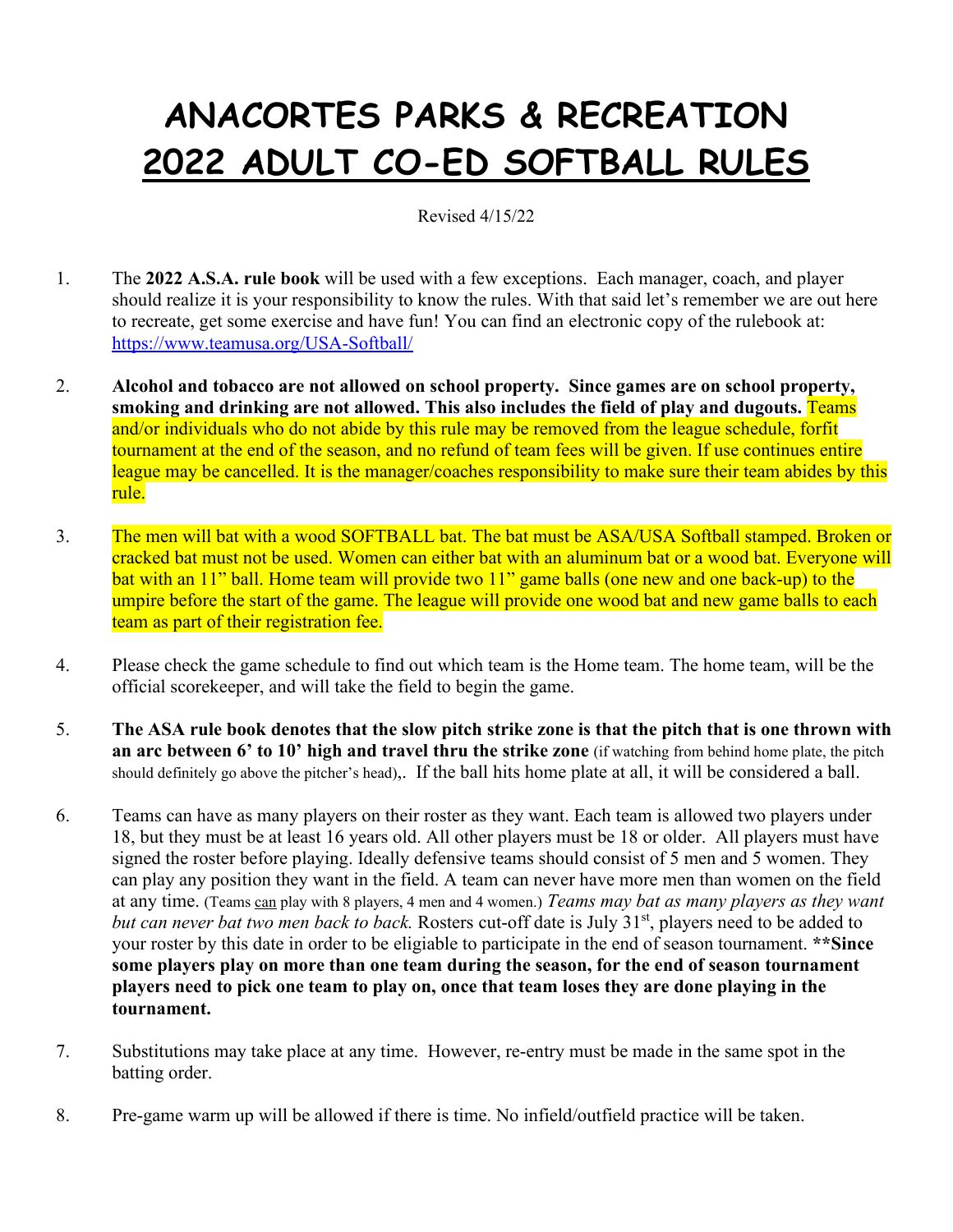## **ANACORTES PARKS & RECREATION 2022 ADULT CO-ED SOFTBALL RULES**

Revised 4/15/22

- 1. The **2022 A.S.A. rule book** will be used with a few exceptions. Each manager, coach, and player should realize it is your responsibility to know the rules. With that said let's remember we are out here to recreate, get some exercise and have fun! You can find an electronic copy of the rulebook at: <https://www.teamusa.org/USA-Softball/>
- 2. **Alcohol and tobacco are not allowed on school property. Since games are on school property, smoking and drinking are not allowed. This also includes the field of play and dugouts.** Teams and/or individuals who do not abide by this rule may be removed from the league schedule, forfit tournament at the end of the season, and no refund of team fees will be given. If use continues entire league may be cancelled. It is the manager/coaches responsibility to make sure their team abides by this rule.
- 3. The men will bat with a wood SOFTBALL bat. The bat must be ASA/USA Softball stamped. Broken or cracked bat must not be used. Women can either bat with an aluminum bat or a wood bat. Everyone will bat with an 11" ball. Home team will provide two 11" game balls (one new and one back-up) to the umpire before the start of the game. The league will provide one wood bat and new game balls to each team as part of their registration fee.
- 4. Please check the game schedule to find out which team is the Home team. The home team, will be the official scorekeeper, and will take the field to begin the game.
- 5. **The ASA rule book denotes that the slow pitch strike zone is that the pitch that is one thrown with an arc between 6' to 10' high and travel thru the strike zone** (if watching from behind home plate, the pitch should definitely go above the pitcher's head),. If the ball hits home plate at all, it will be considered a ball.
- 6. Teams can have as many players on their roster as they want. Each team is allowed two players under 18, but they must be at least 16 years old. All other players must be 18 or older. All players must have signed the roster before playing. Ideally defensive teams should consist of 5 men and 5 women. They can play any position they want in the field. A team can never have more men than women on the field at any time. (Teams can play with 8 players, 4 men and 4 women.) *Teams may bat as many players as they want but can never bat two men back to back.* Rosters cut-off date is July 31<sup>st</sup>, players need to be added to your roster by this date in order to be eligiable to participate in the end of season tournament. **\*\*Since some players play on more than one team during the season, for the end of season tournament players need to pick one team to play on, once that team loses they are done playing in the tournament.**
- 7. Substitutions may take place at any time. However, re-entry must be made in the same spot in the batting order.
- 8. Pre-game warm up will be allowed if there is time. No infield/outfield practice will be taken.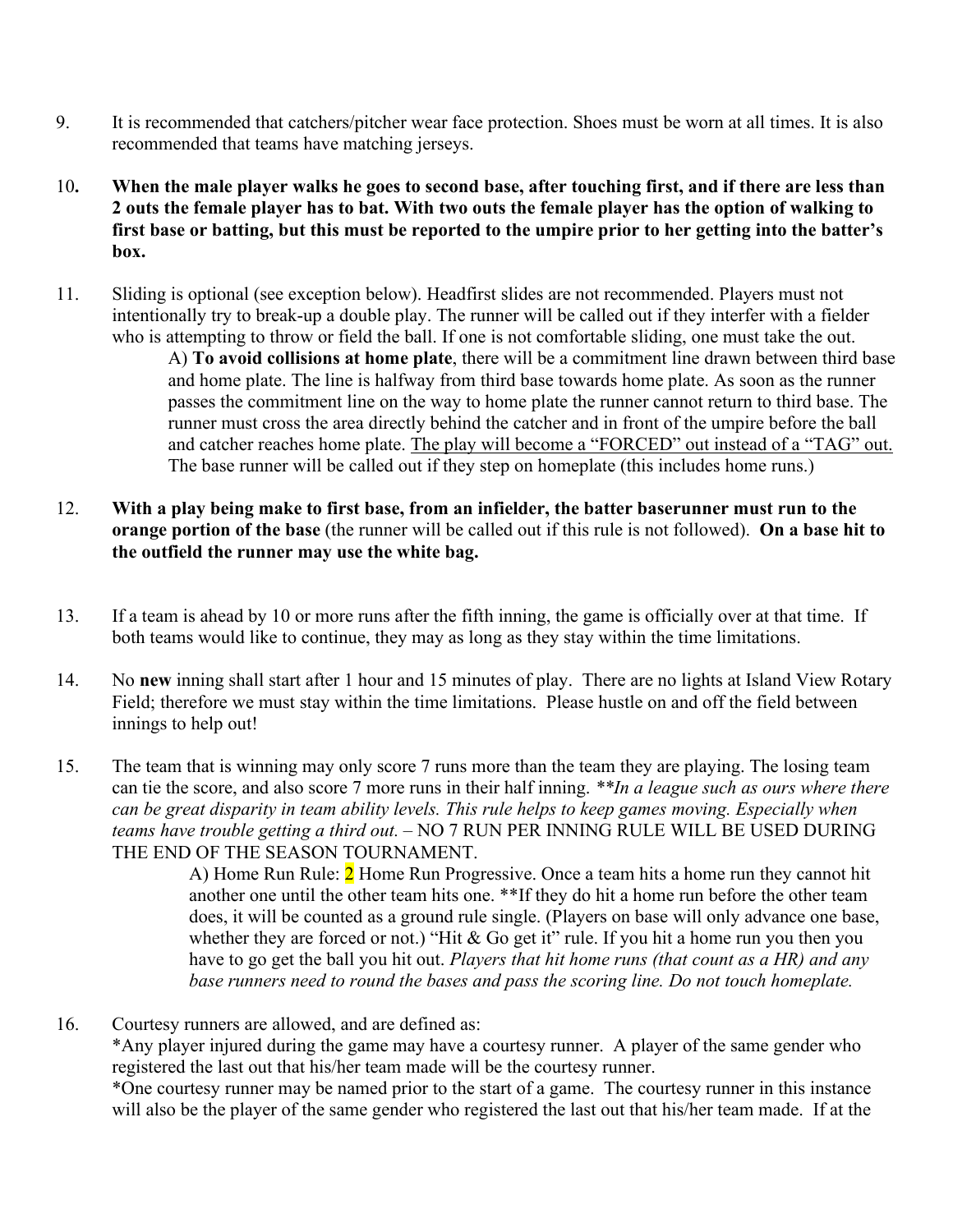- 9. It is recommended that catchers/pitcher wear face protection. Shoes must be worn at all times. It is also recommended that teams have matching jerseys.
- 10**. When the male player walks he goes to second base, after touching first, and if there are less than 2 outs the female player has to bat. With two outs the female player has the option of walking to first base or batting, but this must be reported to the umpire prior to her getting into the batter's box.**
- 11. Sliding is optional (see exception below). Headfirst slides are not recommended. Players must not intentionally try to break-up a double play. The runner will be called out if they interfer with a fielder who is attempting to throw or field the ball. If one is not comfortable sliding, one must take the out. A) **To avoid collisions at home plate**, there will be a commitment line drawn between third base and home plate. The line is halfway from third base towards home plate. As soon as the runner passes the commitment line on the way to home plate the runner cannot return to third base. The runner must cross the area directly behind the catcher and in front of the umpire before the ball and catcher reaches home plate. The play will become a "FORCED" out instead of a "TAG" out. The base runner will be called out if they step on homeplate (this includes home runs.)
- 12. **With a play being make to first base, from an infielder, the batter baserunner must run to the orange portion of the base** (the runner will be called out if this rule is not followed). **On a base hit to the outfield the runner may use the white bag.**
- 13. If a team is ahead by 10 or more runs after the fifth inning, the game is officially over at that time. If both teams would like to continue, they may as long as they stay within the time limitations.
- 14. No **new** inning shall start after 1 hour and 15 minutes of play. There are no lights at Island View Rotary Field; therefore we must stay within the time limitations. Please hustle on and off the field between innings to help out!
- 15. The team that is winning may only score 7 runs more than the team they are playing. The losing team can tie the score, and also score 7 more runs in their half inning. *\*\*In a league such as ours where there can be great disparity in team ability levels. This rule helps to keep games moving. Especially when teams have trouble getting a third out.* – NO 7 RUN PER INNING RULE WILL BE USED DURING THE END OF THE SEASON TOURNAMENT.

A) Home Run Rule: 2 Home Run Progressive. Once a team hits a home run they cannot hit another one until the other team hits one. \*\*If they do hit a home run before the other team does, it will be counted as a ground rule single. (Players on base will only advance one base, whether they are forced or not.) "Hit & Go get it" rule. If you hit a home run you then you have to go get the ball you hit out. *Players that hit home runs (that count as a HR) and any base runners need to round the bases and pass the scoring line. Do not touch homeplate.*

16. Courtesy runners are allowed, and are defined as:

 \*Any player injured during the game may have a courtesy runner. A player of the same gender who registered the last out that his/her team made will be the courtesy runner.

 \*One courtesy runner may be named prior to the start of a game. The courtesy runner in this instance will also be the player of the same gender who registered the last out that his/her team made. If at the